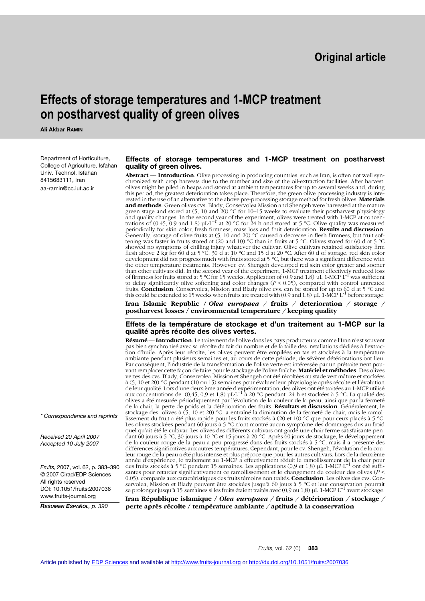# **Original article**

# **Effects of storage temperatures and 1-MCP treatment on postharvest quality of green olives**

**Ali Akbar RAMIN**

Department of Horticulture, College of Agriculture, Isfahan Univ. Technol, Isfahan 8415683111, Iran aa-ramin@cc.iut.ac.ir

#### **Effects of storage temperatures and 1-MCP treatment on postharvest quality of green olives.**

**Abstract** –– **Introduction**. Olive processing in producing countries, such as Iran, is often not well synchronized with crop harvests due to the number and size of the oil-extraction facilities. After harvest, olives might be piled in heaps and stored at ambient temperatures for up to several weeks and, during this period, the greatest deterioration takes place. Therefore, the green olive processing industry is interested in the use of an alternative to the above pre-processing storage method for fresh olives. **Materials and methods**. Green olives cvs. Blady, Conservolea Mission and Shengeh were harvested at the mature green stage and stored at (5, 10 and 20) °C for 10–15 weeks to evaluate their postharvest physiology and quality changes. In the second year of the experiment, olives were treated with 1-MCP at concen-<br>trations of (0.45, 0.9 and 1.8)  $\mu$ L·L<sup>-1</sup> at 20 °C for 24 h and stored at 5 °C. Olive quality was measured periodically for skin color, fresh firmness, mass loss and fruit deterioration. **Results and discussion**. Generally, storage of olive fruits at (5, 10 and 20) °C caused a decrease in flesh firmness, but fruit softening was faster in fruits stored at (20 and 10) °C than in fruits at 5 °C. Olives stored for 60 d at 5 °C showed no symptoms of chilling injury whatever the cultivar. Olive cultivars retained satisfactory firm flesh above 2 kg for 60 d at 5 °C, 30 d at 10 °C and 15 d at 20 °C. After 60 d of storage, red skin color development did not progress much with fruits stored at 5 °C, but there was a significant difference with the other temperature treatments. However, cv. Shengeh developed red skin color greater and sooner than other cultivars did. In the second year of the experiment, 1-MCP treatment effectively reduced loss of firmness for fruits stored at 5 °C for 15 weeks. Application of (0.9 and 1.8) µL 1-MCP·L-1 was sufficient to delay significantly olive softening and color changes ( $P < 0.05$ ), compared with control untreated fruits. **Conclusion**. Conservolea, Mission and Blady olive cvs. can be stored for up to 60 d at 5 °C and this could be extended to 15 weeks when fruits are treated with (0.9 and 1.8) µL 1-MCP·L<sup>-1</sup> before storage. **Iran Islamic Republic /** *Olea europaea /* **fruits** */* **deterioration** */* **storage** */*

**postharvest losses / environmental temperature** */* **keeping quality**

#### **Effets de la température de stockage et d'un traitement au 1-MCP sur la qualité après récolte des olives vertes.**

**Résumé** –– **Introduction**. Le traitement de l'olive dans les pays producteurs comme l'Iran n'est souvent pas bien synchronisé avec sa récolte du fait du nombre et de la taille des installations dédiées à l'extraction d'huile. Après leur récolte, les olives peuvent être empilées en tas et stockées à la température ambiante pendant plusieurs semaines et, au cours de cette période, de sévères détériorations ont lieu. Par conséquent, l'industrie de la transformation de l'olive verte est intéressée par un prétraitement pouvant remplacer cette façon de faire pour le stockage de l'olive fraîche. **Matériel et méthodes**. Des olives vertes des cvs. Blady, Conservolea, Mission et Shengeh ont été récoltées au stade vert mâture et stockées à (5, 10 et 20) °C pendant (10 ou 15) semaines pour évaluer leur physiologie après récolte et l'évolution de leur qualité. Lors d'une deuxième année d'expérimentation, des olives ont été traitées au 1-MCP utilisé<br>aux concentrations de (0,45, 0,9 et 1,8) µL·L<sup>–1</sup> à 20 °C pendant 24 h et stockées à 5 °C. La qualité des olives a été mesurée périodiquement par l'évolution de la couleur de la peau, ainsi que par la fermeté de la chair, la perte de poids et la détérioration des fruits. **Résultats et discussion**. Généralement, le stockage des olives à (5, 10 et 20) °C a entraîné la diminution de la fermeté de chair, mais le ramollissement du fruit a été plus rapide pour les fruits stockés à (20 et 10) °C que pour ceux placés à 5 °C. Les olives stockées pendant 60 jours à 5 °C n'ont montré aucun symptôme des dommages dus au froid quel qu'ait été le cultivar. Les olives des différents cultivars ont gardé une chair ferme satisfaisante pendant 60 jours à 5 °C, 30 jours à 10 °C et 15 jours à 20 °C. Après 60 jours de stockage, le développement de la couleur rouge de la peau a peu progressé dans des fruits stockés à 5 °C, mais il a présenté des différences significatives aux autres températures. Cependant, pour le cv. Shengeh, l'évolution de la couleur rouge de la peau a été plus intense et plus précoce que pour les autres cultivars. Lors de la deuxième année d'expérience, le traitement au 1-MCP a effectivement réduit le ramollissement de la chair pour<br>des fruits stockés à 5 °C pendant 15 semaines. Les applications (0,9 et 1,8) µL 1-MCP·L<sup>-1</sup> ont été suffisantes pour retarder significativement ce ramollissement et le changement de couleur des olives (*P* < 0.05), comparés aux caractéristiques des fruits témoins non traités. **Conclusion**. Les olives des cvs. Conservolea, Mission et Blady peuvent être stockées jusqu'à 60 jours à 5 °C et leur conservation pourrait<br>se prolonger jusqu'à 15 semaines si les fruits étaient traités avec (0,9 ou 1,8) µL 1-MCP·L<sup>–1</sup> avant stockage.

**Iran République islamique /** *Olea europaea /* **fruits** */* **détérioration** */* **stockage** */* **perte après récolte / température ambiante** */* **aptitude à la conservation**

*\* Correspondence and reprints*

*Received 20 April 2007 Accepted 10 July 2007*

*Fruits,* 2007, vol. 62, p. 383–390 © 2007 Cirad/EDP Sciences All rights reserved DOI: 10.1051/fruits:2007036 www.fruits-journal.org

*RESUMEN ESPAÑOL, p. 390*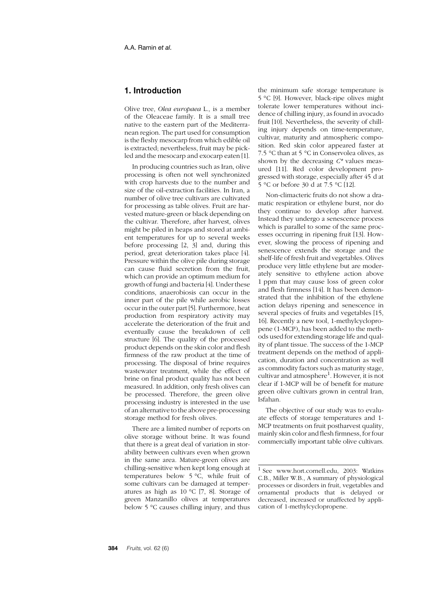# **1. Introduction**

Olive tree, *Olea europaea* L., is a member of the Oleaceae family. It is a small tree native to the eastern part of the Mediterranean region. The part used for consumption is the fleshy mesocarp from which edible oil is extracted; nevertheless, fruit may be pickled and the mesocarp and exocarp eaten [1].

In producing countries such as Iran, olive processing is often not well synchronized with crop harvests due to the number and size of the oil-extraction facilities. In Iran, a number of olive tree cultivars are cultivated for processing as table olives. Fruit are harvested mature-green or black depending on the cultivar. Therefore, after harvest, olives might be piled in heaps and stored at ambient temperatures for up to several weeks before processing [2, 3] and, during this period, great deterioration takes place [4]. Pressure within the olive pile during storage can cause fluid secretion from the fruit, which can provide an optimum medium for growth of fungi and bacteria [4]. Under these conditions, anaerobiosis can occur in the inner part of the pile while aerobic losses occur in the outer part [5]. Furthermore, heat production from respiratory activity may accelerate the deterioration of the fruit and eventually cause the breakdown of cell structure [6]. The quality of the processed product depends on the skin color and flesh firmness of the raw product at the time of processing. The disposal of brine requires wastewater treatment, while the effect of brine on final product quality has not been measured. In addition, only fresh olives can be processed. Therefore, the green olive processing industry is interested in the use of an alternative to the above pre-processing storage method for fresh olives.

There are a limited number of reports on olive storage without brine. It was found that there is a great deal of variation in storability between cultivars even when grown in the same area. Mature-green olives are chilling-sensitive when kept long enough at temperatures below 5 °C, while fruit of some cultivars can be damaged at temperatures as high as 10 °C [7, 8]. Storage of green Manzanillo olives at temperatures below 5 °C causes chilling injury, and thus the minimum safe storage temperature is 5 °C [9]. However, black-ripe olives might tolerate lower temperatures without incidence of chilling injury, as found in avocado fruit [10]. Nevertheless, the severity of chilling injury depends on time-temperature, cultivar, maturity and atmospheric composition. Red skin color appeared faster at 7.5 °C than at 5 °C in Conservolea olives, as shown by the decreasing *C\** values measured [11]. Red color development progressed with storage, especially after 45 d at 5 °C or before 30 d at 7.5 °C [12].

Non-climacteric fruits do not show a dramatic respiration or ethylene burst, nor do they continue to develop after harvest. Instead they undergo a senescence process which is parallel to some of the same processes occurring in ripening fruit [13]. However, slowing the process of ripening and senescence extends the storage and the shelf-life of fresh fruit and vegetables. Olives produce very little ethylene but are moderately sensitive to ethylene action above 1 ppm that may cause loss of green color and flesh firmness [14]. It has been demonstrated that the inhibition of the ethylene action delays ripening and senescence in several species of fruits and vegetables [15, 16]. Recently a new tool, 1-methylcyclopropene (1-MCP), has been added to the methods used for extending storage life and quality of plant tissue. The success of the 1-MCP treatment depends on the method of application, duration and concentration as well as commodity factors such as maturity stage, cultivar and atmosphere1. However, it is not clear if 1-MCP will be of benefit for mature green olive cultivars grown in central Iran, Isfahan.

The objective of our study was to evaluate effects of storage temperatures and 1- MCP treatments on fruit postharvest quality, mainly skin color and flesh firmness, for four commercially important table olive cultivars.

<sup>1</sup> See www.hort.cornell.edu, 2003: Watkins C.B., Miller W.B., A summary of physiological processes or disorders in fruit, vegetables and ornamental products that is delayed or decreased, increased or unaffected by application of 1-methylcyclopropene.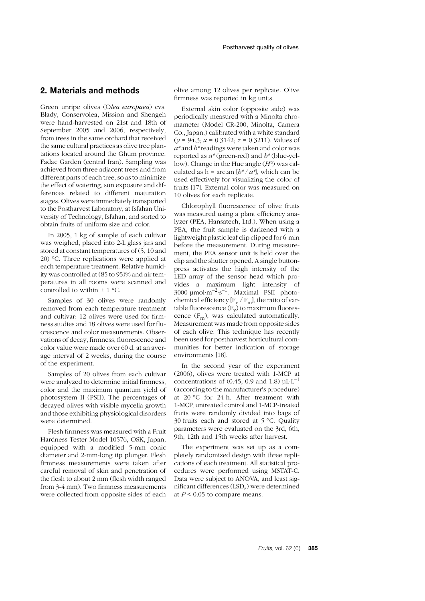# **2. Materials and methods**

Green unripe olives (O*lea europaea*) cvs. Blady, Conservolea, Mission and Shengeh were hand-harvested on 21st and 18th of September 2005 and 2006, respectively, from trees in the same orchard that received the same cultural practices as olive tree plantations located around the Ghum province, Fadac Garden (central Iran). Sampling was achieved from three adjacent trees and from different parts of each tree, so as to minimize the effect of watering, sun exposure and differences related to different maturation stages. Olives were immediately transported to the Postharvest Laboratory, at Isfahan University of Technology, Isfahan, and sorted to obtain fruits of uniform size and color.

In 2005, 1 kg of sample of each cultivar was weighed, placed into 2-L glass jars and stored at constant temperatures of (5, 10 and 20) °C. Three replications were applied at each temperature treatment. Relative humidity was controlled at (85 to 95)% and air temperatures in all rooms were scanned and controlled to within  $\pm$  1 °C.

Samples of 30 olives were randomly removed from each temperature treatment and cultivar: 12 olives were used for firmness studies and 18 olives were used for fluorescence and color measurements. Observations of decay, firmness, fluorescence and color value were made over 60 d, at an average interval of 2 weeks, during the course of the experiment.

Samples of 20 olives from each cultivar were analyzed to determine initial firmness, color and the maximum quantum yield of photosystem II (PSII). The percentages of decayed olives with visible mycelia growth and those exhibiting physiological disorders were determined.

Flesh firmness was measured with a Fruit Hardness Tester Model 10576, OSK, Japan, equipped with a modified 5-mm conic diameter and 2-mm-long tip plunger. Flesh firmness measurements were taken after careful removal of skin and penetration of the flesh to about 2 mm (flesh width ranged from 3-4 mm). Two firmness measurements were collected from opposite sides of each olive among 12 olives per replicate. Olive firmness was reported in kg units.

External skin color (opposite side) was periodically measured with a Minolta chromameter (Model CR-200, Minolta, Camera Co., Japan,) calibrated with a white standard (*y* = 94.3; *x* = 0.3142; *z* = 0.3211). Values of *a\** and *b\** readings were taken and color was reported as *a\** (green-red) and *b\** (blue-yellow). Change in the Hue angle (*H°*) was calculated as  $h = \arctan [b^*/a^*]$ , which can be used effectively for visualizing the color of fruits [17]. External color was measured on 10 olives for each replicate.

Chlorophyll fluorescence of olive fruits was measured using a plant efficiency analyzer (PEA, Hansatech, Ltd.). When using a PEA, the fruit sample is darkened with a lightweight plastic leaf clip clipped for 6 min before the measurement. During measurement, the PEA sensor unit is held over the clip and the shutter opened. A single buttonpress activates the high intensity of the LED array of the sensor head which provides a maximum light intensity of  $3000 \mu$ mol·m<sup>-2</sup>·s<sup>-1</sup>. Maximal PSII photochemical efficiency  $[F_v / F_m]$ , the ratio of variable fluorescence  $(F_v)$  to maximum fluorescence  $(F_m)$ , was calculated automatically. Measurement was made from opposite sides of each olive. This technique has recently been used for postharvest horticultural communities for better indication of storage environments [18].

In the second year of the experiment (2006), olives were treated with 1-MCP at concentrations of  $(0.45, 0.9 \text{ and } 1.8) \mu L \cdot L^{-1}$ (according to the manufacturer's procedure) at 20 °C for 24 h. After treatment with 1-MCP, untreated control and 1-MCP-treated fruits were randomly divided into bags of 30 fruits each and stored at 5 °C. Quality parameters were evaluated on the 3rd, 6th, 9th, 12th and 15th weeks after harvest.

The experiment was set up as a completely randomized design with three replications of each treatment. All statistical procedures were performed using MSTAT-C. Data were subject to ANOVA, and least significant differences (LSD<sub>s</sub>) were determined at  $P < 0.05$  to compare means.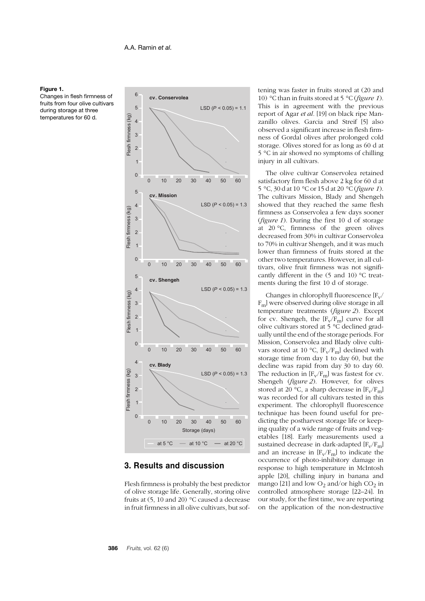

Changes in flesh firmness of fruits from four olive cultivars during storage at three temperatures for 60 d.



## **3. Results and discussion**

Flesh firmness is probably the best predictor of olive storage life. Generally, storing olive fruits at (5, 10 and 20) °C caused a decrease in fruit firmness in all olive cultivars, but softening was faster in fruits stored at (20 and 10) °C than in fruits stored at 5 °C (*figure 1*). This is in agreement with the previous report of Agar *et al.* [19] on black ripe Manzanillo olives. Garcia and Streif [5] also observed a significant increase in flesh firmness of Gordal olives after prolonged cold storage. Olives stored for as long as 60 d at 5 °C in air showed no symptoms of chilling injury in all cultivars.

The olive cultivar Conservolea retained satisfactory firm flesh above 2 kg for 60 d at 5 °C, 30 d at 10 °C or 15 d at 20 °C (*figure 1*). The cultivars Mission, Blady and Shengeh showed that they reached the same flesh firmness as Conservolea a few days sooner (*figure 1*). During the first 10 d of storage at 20 °C, firmness of the green olives decreased from 30% in cultivar Conservolea to 70% in cultivar Shengeh, and it was much lower than firmness of fruits stored at the other two temperatures. However, in all cultivars, olive fruit firmness was not significantly different in the (5 and 10) °C treatments during the first 10 d of storage.

Changes in chlorophyll fluorescence  $[F_{v'}]$ Fm] were observed during olive storage in all temperature treatments (*figure 2*). Except for cv. Shengeh, the  $[F_v/F_m]$  curve for all olive cultivars stored at 5 °C declined gradually until the end of the storage periods. For Mission, Conservolea and Blady olive cultivars stored at 10 °C,  $[F_v/F_m]$  declined with storage time from day 1 to day 60, but the decline was rapid from day 30 to day 60. The reduction in  $[F_v/F_m]$  was fastest for cv. Shengeh (*figure 2*). However, for olives stored at 20 °C, a sharp decrease in  $[F_v/F_m]$ was recorded for all cultivars tested in this experiment. The chlorophyll fluorescence technique has been found useful for predicting the postharvest storage life or keeping quality of a wide range of fruits and vegetables [18]. Early measurements used a sustained decrease in dark-adapted  $[F_v/F_m]$ and an increase in  $[F_v/F_m]$  to indicate the occurrence of photo-inhibitory damage in response to high temperature in McIntosh apple [20], chilling injury in banana and mango [21] and low  $O_2$  and/or high  $CO_2$  in controlled atmosphere storage [22–24]. In our study, for the first time, we are reporting on the application of the non-destructive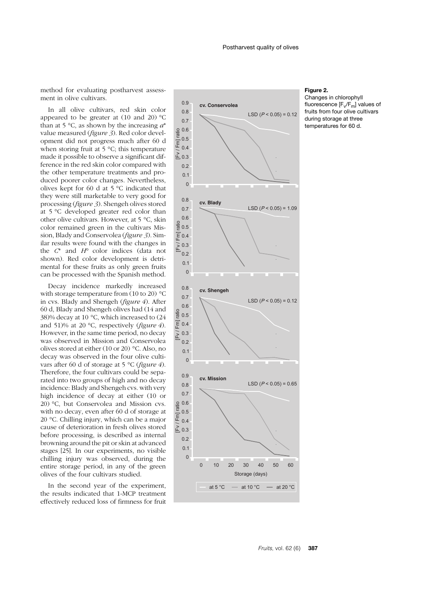method for evaluating postharvest assessment in olive cultivars.

In all olive cultivars, red skin color appeared to be greater at (10 and 20) °C than at 5 °C, as shown by the increasing *a*\* value measured (*figure 3*). Red color development did not progress much after 60 d when storing fruit at 5 °C; this temperature made it possible to observe a significant difference in the red skin color compared with the other temperature treatments and produced poorer color changes. Nevertheless, olives kept for 60 d at 5 °C indicated that they were still marketable to very good for processing (*figure 3*). Shengeh olives stored at 5 °C developed greater red color than other olive cultivars. However, at 5 °C, skin color remained green in the cultivars Mission, Blady and Conservolea (*figure 3*). Similar results were found with the changes in the *C*\* and *H*° color indices (data not shown). Red color development is detrimental for these fruits as only green fruits can be processed with the Spanish method.

Decay incidence markedly increased with storage temperature from (10 to 20) °C in cvs. Blady and Shengeh (*figure 4*). After 60 d, Blady and Shengeh olives had (14 and 38)% decay at 10 °C, which increased to (24 and 51)% at 20 °C, respectively (*figure 4*). However, in the same time period, no decay was observed in Mission and Conservolea olives stored at either (10 or 20) °C. Also, no decay was observed in the four olive cultivars after 60 d of storage at 5 °C (*figure 4*). Therefore, the four cultivars could be separated into two groups of high and no decay incidence: Blady and Shengeh cvs. with very high incidence of decay at either (10 or 20) °C, but Conservolea and Mission cvs. with no decay, even after 60 d of storage at 20 °C. Chilling injury, which can be a major cause of deterioration in fresh olives stored before processing, is described as internal browning around the pit or skin at advanced stages [25]. In our experiments, no visible chilling injury was observed, during the entire storage period, in any of the green olives of the four cultivars studied.

In the second year of the experiment, the results indicated that 1-MCP treatment effectively reduced loss of firmness for fruit



### **Figure 2.**

Changes in chlorophyll fluorescence  $[F_v/F_m]$  values of fruits from four olive cultivars during storage at three temperatures for 60 d.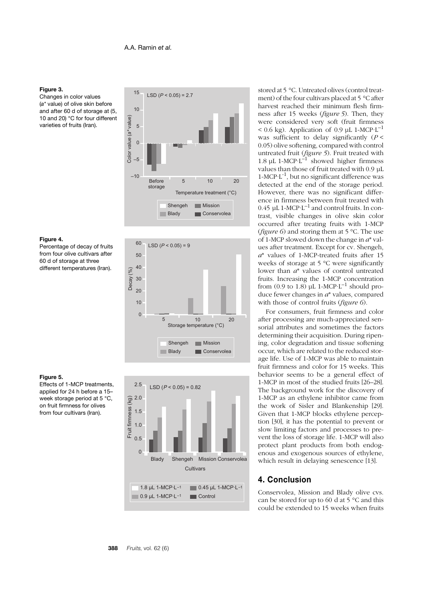15

### **Figure 3.**

Changes in color values (*a\** value) of olive skin before and after 60 d of storage at (5, 10 and 20) °C for four different varieties of fruits (Iran).



#### **Figure 4.**

Percentage of decay of fruits from four olive cultivars after 60 d of storage at three different temperatures (Iran).



#### **Figure 5.**

Effects of 1-MCP treatments, applied for 24 h before a 15– week storage period at 5 °C, on fruit firmness for olives from four cultivars (Iran).



stored at 5 °C. Untreated olives (control treatment) of the four cultivars placed at 5 °C after harvest reached their minimum flesh firmness after 15 weeks (*figure 5*). Then, they were considered very soft (fruit firmness  $< 0.6$  kg). Application of 0.9 µL 1-MCP·L<sup>-1</sup> was sufficient to delay significantly (*P* < 0.05) olive softening, compared with control untreated fruit (*figure 5*). Fruit treated with 1.8 µL 1-MCP $\text{L}^{-1}$  showed higher firmness values than those of fruit treated with 0.9 uL 1-MCP·L-1, but no significant difference was detected at the end of the storage period. However, there was no significant difference in firmness between fruit treated with  $0.45$  µL 1-MCP·L<sup>-1</sup> and control fruits. In contrast, visible changes in olive skin color occurred after treating fruits with 1-MCP (*figure 6*) and storing them at 5 °C. The use of 1-MCP slowed down the change in *a*\* values after treatment. Except for cv. Shengeh, *a*\* values of 1-MCP-treated fruits after 15 weeks of storage at 5 °C were significantly lower than *a*\* values of control untreated fruits. Increasing the 1-MCP concentration from  $(0.9 \text{ to } 1.8)$  uL 1-MCP·L<sup>-1</sup> should produce fewer changes in *a*\* values, compared with those of control fruits (*figure 6*).

For consumers, fruit firmness and color after processing are much-appreciated sensorial attributes and sometimes the factors determining their acquisition. During ripening, color degradation and tissue softening occur, which are related to the reduced storage life. Use of 1-MCP was able to maintain fruit firmness and color for 15 weeks. This behavior seems to be a general effect of 1-MCP in most of the studied fruits [26–28]. The background work for the discovery of 1-MCP as an ethylene inhibitor came from the work of Sisler and Blankenship [29]. Given that 1-MCP blocks ethylene perception [30], it has the potential to prevent or slow limiting factors and processes to prevent the loss of storage life. 1-MCP will also protect plant products from both endogenous and exogenous sources of ethylene, which result in delaying senescence [13].

## **4. Conclusion**

Conservolea, Mission and Blady olive cvs. can be stored for up to 60 d at 5 °C and this could be extended to 15 weeks when fruits

#### **388** *Fruits,* vol. 62 (6)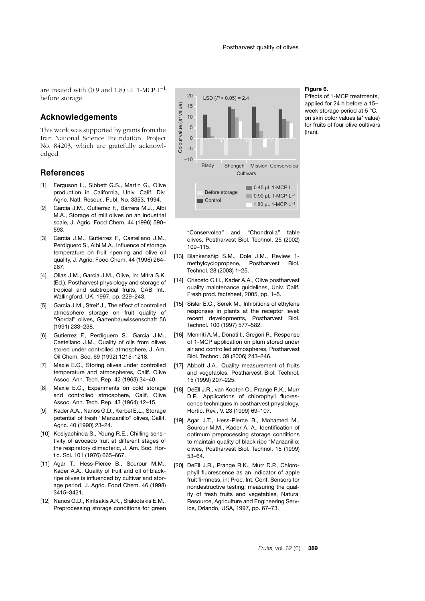are treated with (0.9 and 1.8)  $\mu$ L 1-MCP·L<sup>-1</sup> before storage.

# **Acknowledgements**

This work was supported by grants from the Iran National Science Foundation, Project No. 84203, which are gratefully acknowledged.

## **References**

- [1] Ferguson L., Sibbett G.S., Martin G., Olive production in California, Univ. Calif. Div. Agric. Natl. Resour., Publ. No. 3353, 1994.
- [2] Garcia J.M., Gutierrez F., Barrera M.J., Albi M.A., Storage of mill olives on an industrial scale, J. Agric. Food Chem. 44 (1996) 590– 593.
- [3] Garcia J.M., Gutierrez F., Castellano J.M., Perdiguero S., Albi M.A., Influence of storage temperature on fruit ripening and olive oil quality, J. Agric. Food Chem. 44 (1996) 264– 267.
- [4] Olias J.M., Garcia J.M., Olive, in: Mitra S.K. (Ed.), Postharvest physiology and storage of tropical and subtropical fruits, CAB Int., Wallingford, UK, 1997, pp. 229–243.
- [5] Garcia J.M., Streif J., The effect of controlled atmosphere storage on fruit quality of "Gordal" olives, Gartenbauwissenschaft 56 (1991) 233–238.
- [6] Gutierrez F., Perdiguero S., Garcia J.M., Castellano J.M., Quality of oils from olives stored under controlled atmosphere, J. Am. Oil Chem. Soc. 69 (1992) 1215–1218.
- [7] Maxie E.C., Storing olives under controlled temperature and atmospheres, Calif. Olive Assoc. Ann. Tech. Rep. 42 (1963) 34–40.
- [8] Maxie E.C., Experiments on cold storage and controlled atmosphere, Calif. Olive Assoc. Ann. Tech. Rep. 43 (1964) 12–15.
- [9] Kader A.A., Nanos G.D., Kerbel E.L., Storage potential of fresh "Manzanillo" olives, Callif. Agric. 40 (1990) 23–24.
- [10] Kosiyachinda S., Young R.E., Chilling sensitivity of avocado fruit at different stages of the respiratory climacteric, J. Am. Soc. Hortic. Sci. 101 (1976) 665–667.
- [11] Agar T., Hess-Pierce B., Sourour M.M., Kader A.A., Quality of fruit and oil of blackripe olives is influenced by cultivar and storage period, J. Agric. Food Chem. 46 (1998) 3415–3421.
- [12] Nanos G.D., Kiritsakis A.K., Sfakiotakis E.M., Preprocessing storage conditions for green



"Conservolea" and "Chondrolia" table olives, Postharvest Biol. Technol. 25 (2002) 109–115.

- [13] Blankenship S.M., Dole J.M., Review 1methylcyclopropene, Postharvest Biol. Technol. 28 (2003) 1–25.
- [14] Crisosto C.H., Kader A.A., Olive postharvest quality maintenance guidelines, Univ. Calif. Fresh prod. factsheet, 2005, pp. 1–5.
- [15] Sisler E.C., Serek M., Inhibitions of ethylene responses in plants at the receptor level: recent developments, Postharvest Biol. Technol. 100 (1997) 577–582.
- [16] Menniti A.M., Donati I., Gregori R., Response of 1-MCP application on plum stored under air and controlled atmospheres, Postharvest Biol. Technol. 39 (2006) 243–246.
- [17] Abbott J.A., Quality measurement of fruits and vegetables, Postharvest Biol. Technol. 15 (1999) 207–225.
- [18] DeEll J.R., van Kooten O., Prange R.K., Murr D.P., Applications of chlorophyll fluorescence techniques in postharvest physiology, Hortic. Rev., V. 23 (1999) 69–107.
- [19] Agar J.T., Hess-Pierce B., Mohamed M., Sourour M.M., Kader A. A., Identification of optimum preprocessing storage conditions to maintain quality of black ripe "Manzanillo: olives, Postharvest Biol. Technol. 15 (1999) 53–64.
- [20] DeEll J.R., Prange R.K., Murr D.P., Chlorophyll fluorescence as an indicator of apple fruit firmness, in: Proc. Int. Conf. Sensors for nondestructive testing: measuring the quality of fresh fruits and vegetables, Natural Resource, Agriculture and Engineering Service, Orlando, USA, 1997, pp. 67–73.

#### **Figure 6.**

Effects of 1-MCP treatments, applied for 24 h before a 15– week storage period at 5 °C, on skin color values (*a\** value) for fruits of four olive cultivars (Iran).